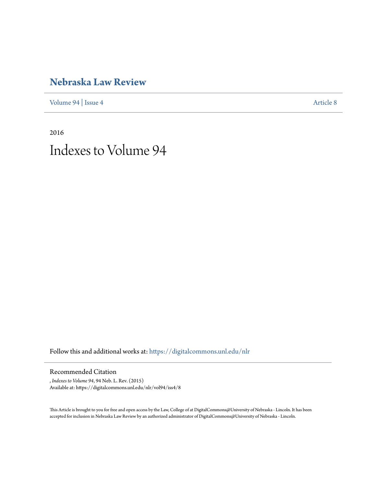## **[Nebraska Law Review](https://digitalcommons.unl.edu/nlr?utm_source=digitalcommons.unl.edu%2Fnlr%2Fvol94%2Fiss4%2F8&utm_medium=PDF&utm_campaign=PDFCoverPages)**

[Volume 94](https://digitalcommons.unl.edu/nlr/vol94?utm_source=digitalcommons.unl.edu%2Fnlr%2Fvol94%2Fiss4%2F8&utm_medium=PDF&utm_campaign=PDFCoverPages) | [Issue 4](https://digitalcommons.unl.edu/nlr/vol94/iss4?utm_source=digitalcommons.unl.edu%2Fnlr%2Fvol94%2Fiss4%2F8&utm_medium=PDF&utm_campaign=PDFCoverPages) [Article 8](https://digitalcommons.unl.edu/nlr/vol94/iss4/8?utm_source=digitalcommons.unl.edu%2Fnlr%2Fvol94%2Fiss4%2F8&utm_medium=PDF&utm_campaign=PDFCoverPages)

2016 Indexes to Volume 94

Follow this and additional works at: [https://digitalcommons.unl.edu/nlr](https://digitalcommons.unl.edu/nlr?utm_source=digitalcommons.unl.edu%2Fnlr%2Fvol94%2Fiss4%2F8&utm_medium=PDF&utm_campaign=PDFCoverPages)

Recommended Citation

, *Indexes to Volume 94*, 94 Neb. L. Rev. (2015) Available at: https://digitalcommons.unl.edu/nlr/vol94/iss4/8

This Article is brought to you for free and open access by the Law, College of at DigitalCommons@University of Nebraska - Lincoln. It has been accepted for inclusion in Nebraska Law Review by an authorized administrator of DigitalCommons@University of Nebraska - Lincoln.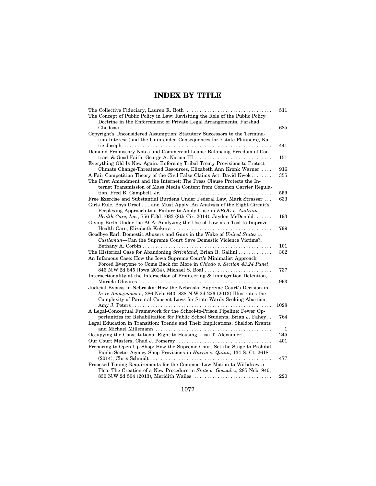## **INDEX BY TITLE**

|                                                                                                                                               | 511  |
|-----------------------------------------------------------------------------------------------------------------------------------------------|------|
| The Concept of Public Policy in Law: Revisiting the Role of the Public Policy                                                                 |      |
| Doctrine in the Enforcement of Private Legal Arrangements, Farshad                                                                            |      |
|                                                                                                                                               | 685  |
| Copyright's Unconsidered Assumption: Statutory Successors to the Termina-                                                                     |      |
| tion Interest (and the Unintended Consequences for Estate Planners), Ka-                                                                      |      |
|                                                                                                                                               | 441  |
| Demand Promissory Notes and Commercial Loans: Balancing Freedom of Con-                                                                       |      |
|                                                                                                                                               | 151  |
| Everything Old Is New Again: Enforcing Tribal Treaty Provisions to Protect                                                                    |      |
| Climate Change-Threatened Resources, Elizabeth Ann Kronk Warner                                                                               | 916  |
| A Fair Competition Theory of the Civil False Claims Act, David Kwok                                                                           | 355  |
| The First Amendment and the Internet: The Press Clause Protects the In-                                                                       |      |
| ternet Transmission of Mass Media Content from Common Carrier Regula-                                                                         |      |
|                                                                                                                                               | 559  |
| Free Exercise and Substantial Burdens Under Federal Law, Mark Strasser                                                                        | 633  |
| Girls Rule, Boys Drool and Must Apply: An Analysis of the Eight Circuit's                                                                     |      |
| Perplexing Approach to a Failure-to-Apply Case in EEOC v. Audrain<br><i>Health Care, Inc., 756 F.3d 1083 (8th Cir. 2014), Jaydon McDonald</i> | 193  |
| Giving Birth Under the ACA: Analyzing the Use of Law as a Tool to Improve                                                                     |      |
|                                                                                                                                               | 799  |
| Goodbye Earl: Domestic Abusers and Guns in the Wake of United States v.                                                                       |      |
| Castleman-Can the Supreme Court Save Domestic Violence Victims?,                                                                              |      |
|                                                                                                                                               | 101  |
| The Historical Case for Abandoning Strickland, Brian R. Gallini                                                                               | 302  |
| An Infamous Case: How the Iowa Supreme Court's Minimalist Approach                                                                            |      |
| Forced Everyone to Come Back for More in Chiodo v. Section 43.24 Panel,                                                                       |      |
| 846 N.W.2d 845 (Iowa 2014), Michael S. Boal                                                                                                   | 737  |
| Intersectionality at the Intersection of Profiteering & Immigration Detention,                                                                |      |
|                                                                                                                                               | 963  |
| Judicial Bypass in Nebraska: How the Nebraska Supreme Court's Decision in                                                                     |      |
| In re Anonymous 5, 286 Neb. 640, 838 N.W.2d 226 (2013) Illustrates the                                                                        |      |
| Complexity of Parental Consent Laws for State Wards Seeking Abortion,                                                                         |      |
|                                                                                                                                               | 1028 |
| A Legal-Conceptual Framework for the School-to-Prison Pipeline: Fewer Op-                                                                     |      |
| portunities for Rehabilitation for Public School Students, Brian J. Fahey                                                                     | 764  |
| Legal Education in Transition: Trends and Their Implications, Sheldon Krantz                                                                  |      |
|                                                                                                                                               | 1    |
| Occupying the Constitutional Right to Housing, Lisa T. Alexander                                                                              | 245  |
|                                                                                                                                               | 401  |
| Preparing to Open Up Shop: How the Supreme Court Set the Stage to Prohibit                                                                    |      |
| Public-Sector Agency-Shop Provisions in <i>Harris v. Quinn</i> , 134 S. Ct. 2618                                                              |      |
|                                                                                                                                               | 477  |
| Proposed Timing Requirements for the Common-Law Motion to Withdraw a                                                                          |      |
| Plea: The Creation of a New Procedure in State v. Gonzalez, 285 Neb. 940,                                                                     |      |
|                                                                                                                                               | 220  |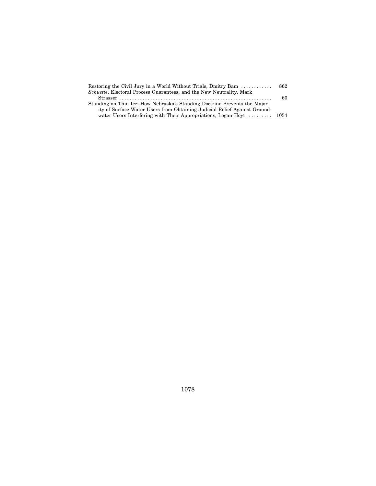| Restoring the Civil Jury in a World Without Trials, Dmitry Bam               | 862 |
|------------------------------------------------------------------------------|-----|
| <i>Schuette</i> , Electoral Process Guarantees, and the New Neutrality, Mark |     |
|                                                                              | 60  |
| Standing on Thin Ice: How Nebraska's Standing Doctrine Prevents the Major-   |     |
| ity of Surface Water Users from Obtaining Judicial Relief Against Ground-    |     |
| water Users Interfering with Their Appropriations, Logan Hoyt 1054           |     |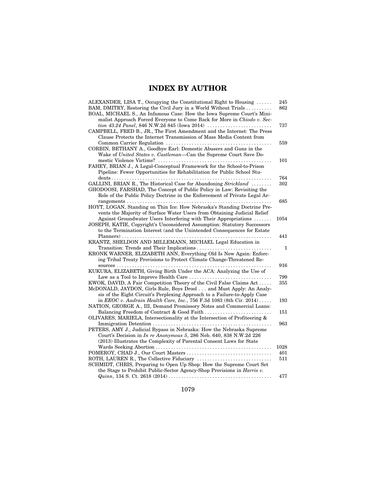## **INDEX BY AUTHOR**

| ALEXANDER, LISA T., Occupying the Constitutional Right to Housing $\dots$<br>BAM, DMITRY, Restoring the Civil Jury in a World Without Trials<br>BOAL, MICHAEL S., An Infamous Case: How the Iowa Supreme Court's Mini-   | 245<br>862   |
|--------------------------------------------------------------------------------------------------------------------------------------------------------------------------------------------------------------------------|--------------|
| malist Approach Forced Everyone to Come Back for More in Chiodo v. Sec-<br>CAMPBELL, FRED B., JR., The First Amendment and the Internet: The Press                                                                       | 737          |
| Clause Protects the Internet Transmission of Mass Media Content from<br>CORBIN, BETHANY A., Goodbye Earl: Domestic Abusers and Guns in the<br>Wake of United States v. Castleman-Can the Supreme Court Save Do-          | 559          |
| FAHEY, BRIAN J., A Legal-Conceptual Framework for the School-to-Prison<br>Pipeline: Fewer Opportunities for Rehabilitation for Public School Stu-                                                                        | 101          |
|                                                                                                                                                                                                                          | 764          |
| GALLINI, BRIAN R., The Historical Case for Abandoning Strickland<br>GHODOOSI, FARSHAD, The Concept of Public Policy in Law: Revisiting the<br>Role of the Public Policy Doctrine in the Enforcement of Private Legal Ar- | 302          |
|                                                                                                                                                                                                                          | 685          |
| HOYT, LOGAN, Standing on Thin Ice: How Nebraska's Standing Doctrine Pre-<br>vents the Majority of Surface Water Users from Obtaining Judicial Relief                                                                     |              |
| Against Groundwater Users Interfering with Their Appropriations<br>JOSEPH, KATIE, Copyright's Unconsidered Assumption: Statutory Successors<br>to the Termination Interest (and the Unintended Consequences for Estate   | 1054         |
|                                                                                                                                                                                                                          | 441          |
| KRANTZ, SHELDON AND MILLEMANN, MICHAEL Legal Education in                                                                                                                                                                |              |
| Transition: Trends and Their Implications<br>KRONK WARNER, ELIZABETH ANN, Everything Old Is New Again: Enforc-<br>ing Tribal Treaty Provisions to Protect Climate Change-Threatened Re-                                  | $\mathbf{1}$ |
|                                                                                                                                                                                                                          | 916          |
| KUKURA, ELIZABETH, Giving Birth Under the ACA: Analyzing the Use of                                                                                                                                                      |              |
| Law as a Tool to Improve Health Care                                                                                                                                                                                     | 799          |
| KWOK, DAVID, A Fair Competition Theory of the Civil False Claims Act<br>McDONALD, JAYDON, Girls Rule, Boys Drool and Must Apply: An Analy-<br>sis of the Eight Circuit's Perplexing Approach to a Failure-to-Apply Case  | 355          |
| in EEOC v. Audrain Health Care, Inc., 756 F.3d 1083 (8th Cir. 2014)                                                                                                                                                      | 193          |
| NATION, GEORGE A., III, Demand Promissory Notes and Commercial Loans:                                                                                                                                                    |              |
|                                                                                                                                                                                                                          | 151          |
| OLIVARES, MARIELA, Intersectionality at the Intersection of Profiteering &                                                                                                                                               |              |
| PETERS, AMY J., Judicial Bypass in Nebraska: How the Nebraska Supreme<br>Court's Decision in In re Anonymous 5, 286 Neb. 640, 838 N.W.2d 226                                                                             | 963          |
| (2013) Illustrates the Complexity of Parental Consent Laws for State                                                                                                                                                     | 1028         |
|                                                                                                                                                                                                                          | 401          |
| ROTH, LAUREN R., The Collective Fiduciary                                                                                                                                                                                | 511          |
| SCHMIDT, CHRIS, Preparing to Open Up Shop: How the Supreme Court Set<br>the Stage to Prohibit Public-Sector Agency-Shop Provisions in <i>Harris v.</i>                                                                   |              |
|                                                                                                                                                                                                                          | 477          |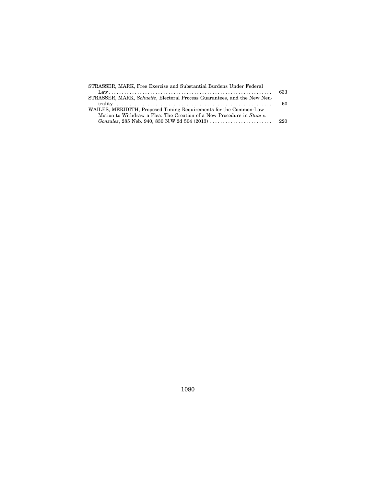| 633 |
|-----|
|     |
| 60  |
|     |
|     |
| 220 |
|     |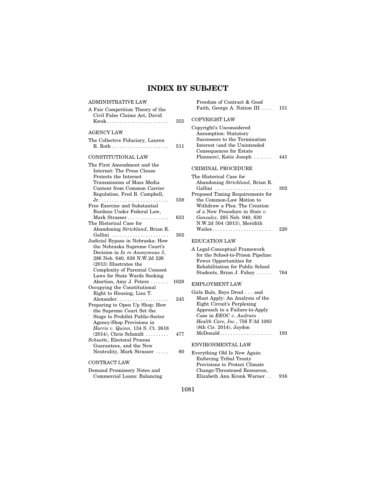## **INDEX BY SUBJECT**

| ADMINISTRATIVE LAW                                                                                                                                                                                                                                                                                                                                         |                    | Freedom of Contract & Good                                                                                                                                                                                                                                                                              |            |
|------------------------------------------------------------------------------------------------------------------------------------------------------------------------------------------------------------------------------------------------------------------------------------------------------------------------------------------------------------|--------------------|---------------------------------------------------------------------------------------------------------------------------------------------------------------------------------------------------------------------------------------------------------------------------------------------------------|------------|
| A Fair Competition Theory of the<br>Civil False Claims Act, David                                                                                                                                                                                                                                                                                          |                    | Faith, George A. Nation III                                                                                                                                                                                                                                                                             | 151        |
|                                                                                                                                                                                                                                                                                                                                                            | 355                | <b>COPYRIGHT LAW</b>                                                                                                                                                                                                                                                                                    |            |
| AGENCY LAW<br>The Collective Fiduciary, Lauren<br>CONSTITUTIONAL LAW                                                                                                                                                                                                                                                                                       | 511                | Copyright's Unconsidered<br><b>Assumption: Statutory</b><br>Successors to the Termination<br>Interest (and the Unintended<br>Consequences for Estate<br>Planners), Katie Joseph                                                                                                                         | 441        |
| The First Amendment and the<br>Internet: The Press Clause<br>Protects the Internet<br>Transmission of Mass Media<br>Content from Common Carrier<br>Regulation, Fred B. Campbell,<br>Free Exercise and Substantial<br>Burdens Under Federal Law,<br>Mark Strasser<br>The Historical Case for<br>Abandoning Strickland, Brian R.                             | 559<br>633<br>302  | CRIMINAL PROCEDURE<br>The Historical Case for<br>Abandoning Strickland, Brian R.<br>Gallini<br>Proposed Timing Requirements for<br>the Common-Law Motion to<br>Withdraw a Plea: The Creation<br>of a New Procedure in State v.<br>Gonzalez, 285 Neb. 940, 830<br>N.W.2d 504 (2013), Meridith<br>Wailes  | 302<br>220 |
| Gallini<br>Judicial Bypass in Nebraska: How<br>the Nebraska Supreme Court's<br>Decision in In re Anonymous 5,<br>286 Neb. 640, 838 N.W.2d 226<br>$(2013)$ Illustrates the<br>Complexity of Parental Consent<br>Laws for State Wards Seeking                                                                                                                |                    | <b>EDUCATION LAW</b><br>A Legal-Conceptual Framework<br>for the School-to-Prison Pipeline:<br>Fewer Opportunities for<br>Rehabilitation for Public School<br>Students, Brian J. Fahey                                                                                                                   | 764        |
| Abortion, Amy J. Peters<br>Occupying the Constitutional<br>Right to Housing, Lisa T.<br>Alexander<br>Preparing to Open Up Shop: How<br>the Supreme Court Set the<br>Stage to Prohibit Public-Sector<br>Agency-Shop Provisions in<br>Harris v. Quinn, 134 S. Ct. 2618<br>$(2014)$ , Chris Schmidt<br>Schuette, Electoral Process<br>Guarantees, and the New | 1028<br>245<br>477 | <b>EMPLOYMENT LAW</b><br>Girls Rule, Boys Drool and<br>Must Apply: An Analysis of the<br>Eight Circuit's Perplexing<br>Approach to a Failure-to-Apply<br>Case in EEOC v. Audrain<br>Health Care, Inc., 756 F.3d 1083<br>(8th Cir. 2014), Jaydon<br>$McDonald \ldots \ldots \ldots$<br>ENVIRONMENTAL LAW | 193        |
| Neutrality, Mark Strasser<br>CONTRACT LAW<br>Demand Promissory Notes and<br>Commercial Loans: Balancing                                                                                                                                                                                                                                                    | 60                 | Everything Old Is New Again:<br>Enforcing Tribal Treaty<br>Provisions to Protect Climate<br>Change-Threatened Resources,<br>Elizabeth Ann Kronk Warner                                                                                                                                                  | 916        |